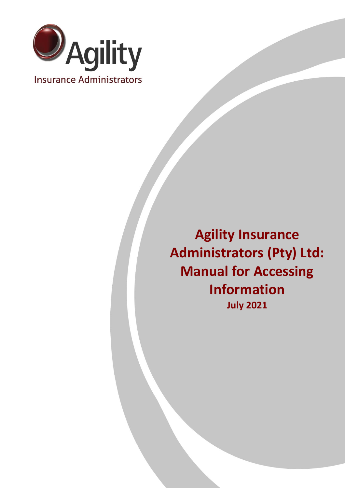

**Agility Insurance Administrators (Pty) Ltd: Manual for Accessing Information July 2021**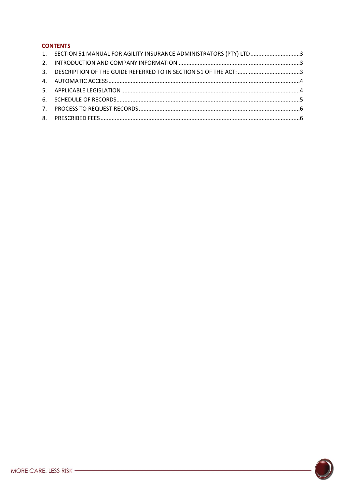## **CONTENTS**

| 1. SECTION 51 MANUAL FOR AGILITY INSURANCE ADMINISTRATORS (PTY) LTD3 |  |
|----------------------------------------------------------------------|--|
|                                                                      |  |
| 3. DESCRIPTION OF THE GUIDE REFERRED TO IN SECTION 51 OF THE ACT: 3  |  |
|                                                                      |  |
|                                                                      |  |
|                                                                      |  |
|                                                                      |  |
|                                                                      |  |

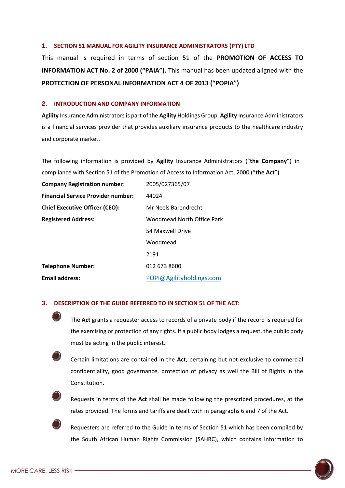#### <span id="page-2-0"></span>**1. SECTION 51 MANUAL FOR AGILITY INSURANCE ADMINISTRATORS (PTY) LTD**

This manual is required in terms of section 51 of the **PROMOTION OF ACCESS TO INFORMATION ACT No. 2 of 2000 ("PAIA").** This manual has been updated aligned with the **PROTECTION OF PERSONAL INFORMATION ACT 4 OF 2013 ("POPIA")**

#### <span id="page-2-1"></span>**2. INTRODUCTION AND COMPANY INFORMATION**

**Agility** Insurance Administrators is part of the **Agility** Holdings Group. **Agility** Insurance Administrators is a financial services provider that provides auxiliary insurance products to the healthcare industry and corporate market.

The following information is provided by **Agility** Insurance Administrators ("**the Company**") in compliance with Section 51 of the Promotion of Access to Information Act, 2000 ("**the Act**").

| <b>Company Registration number:</b>       | 2005/027365/07             |
|-------------------------------------------|----------------------------|
| <b>Financial Service Provider number:</b> | 44024                      |
| <b>Chief Executive Officer (CEO):</b>     | Mr Neels Barendrecht       |
| <b>Registered Address:</b>                | Woodmead North Office Park |
|                                           | 54 Maxwell Drive           |
|                                           | Woodmead                   |
|                                           | 2191                       |
| <b>Telephone Number:</b>                  | 012 673 8600               |
| <b>Email address:</b>                     | POPI@Agilityholdings.com   |

#### <span id="page-2-2"></span>**3. DESCRIPTION OF THE GUIDE REFERRED TO IN SECTION 51 OF THE ACT:**

The **Act** grants a requester access to records of a private body if the record is required for the exercising or protection of any rights. If a public body lodges a request, the public body must be acting in the public interest.



Certain limitations are contained in the **Act**, pertaining but not exclusive to commercial confidentiality, good governance, protection of privacy as well the Bill of Rights in the Constitution.



Requests in terms of the **Act** shall be made following the prescribed procedures, at the rates provided. The forms and tariffs are dealt with in paragraphs 6 and 7 of the Act.

Requesters are referred to the Guide in terms of Section 51 which has been compiled by the South African Human Rights Commission (SAHRC), which contains information to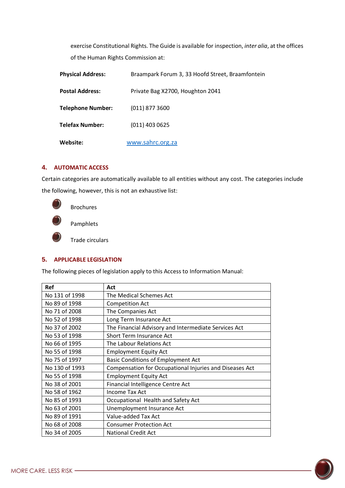exercise Constitutional Rights. The Guide is available for inspection, *inter alia*, at the offices of the Human Rights Commission at:

| <b>Physical Address:</b> | Braampark Forum 3, 33 Hoofd Street, Braamfontein |
|--------------------------|--------------------------------------------------|
| <b>Postal Address:</b>   | Private Bag X2700, Houghton 2041                 |
| <b>Telephone Number:</b> | $(011)$ 877 3600                                 |
| <b>Telefax Number:</b>   | $(011)$ 403 0625                                 |
| Website:                 | www.sahrc.org.za                                 |

## <span id="page-3-0"></span>**4. AUTOMATIC ACCESS**

Certain categories are automatically available to all entities without any cost. The categories include the following, however, this is not an exhaustive list:



Brochures

Pamphlets

Trade circulars

## <span id="page-3-1"></span>**5. APPLICABLE LEGISLATION**

The following pieces of legislation apply to this Access to Information Manual:

| <b>Ref</b>     | Act                                                     |
|----------------|---------------------------------------------------------|
| No 131 of 1998 | The Medical Schemes Act                                 |
| No 89 of 1998  | <b>Competition Act</b>                                  |
| No 71 of 2008  | The Companies Act                                       |
| No 52 of 1998  | Long Term Insurance Act                                 |
| No 37 of 2002  | The Financial Advisory and Intermediate Services Act    |
| No 53 of 1998  | <b>Short Term Insurance Act</b>                         |
| No 66 of 1995  | The Labour Relations Act                                |
| No 55 of 1998  | <b>Employment Equity Act</b>                            |
| No 75 of 1997  | <b>Basic Conditions of Employment Act</b>               |
| No 130 of 1993 | Compensation for Occupational Injuries and Diseases Act |
| No 55 of 1998  | <b>Employment Equity Act</b>                            |
| No 38 of 2001  | Financial Intelligence Centre Act                       |
| No 58 of 1962  | Income Tax Act                                          |
| No 85 of 1993  | Occupational Health and Safety Act                      |
| No 63 of 2001  | Unemployment Insurance Act                              |
| No 89 of 1991  | Value-added Tax Act                                     |
| No 68 of 2008  | <b>Consumer Protection Act</b>                          |
| No 34 of 2005  | <b>National Credit Act</b>                              |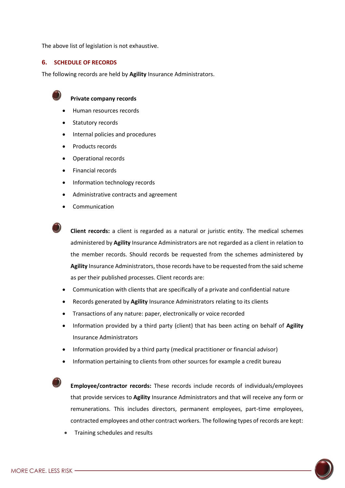The above list of legislation is not exhaustive.

### <span id="page-4-0"></span>**6. SCHEDULE OF RECORDS**

The following records are held by **Agility** Insurance Administrators.



#### **Private company records**

- Human resources records
- Statutory records
- Internal policies and procedures
- Products records
- Operational records
- Financial records
- Information technology records
- Administrative contracts and agreement
- Communication



**Client records:** a client is regarded as a natural or juristic entity. The medical schemes administered by **Agility** Insurance Administrators are not regarded as a client in relation to the member records. Should records be requested from the schemes administered by **Agility** Insurance Administrators, those records have to be requested from the said scheme as per their published processes. Client records are:

- Communication with clients that are specifically of a private and confidential nature
- Records generated by **Agility** Insurance Administrators relating to its clients
- Transactions of any nature: paper, electronically or voice recorded
- Information provided by a third party (client) that has been acting on behalf of **Agility** Insurance Administrators
- Information provided by a third party (medical practitioner or financial advisor)
- Information pertaining to clients from other sources for example a credit bureau

**Employee/contractor records:** These records include records of individuals/employees that provide services to **Agility** Insurance Administrators and that will receive any form or remunerations. This includes directors, permanent employees, part-time employees, contracted employees and other contract workers. The following types of records are kept:

• Training schedules and results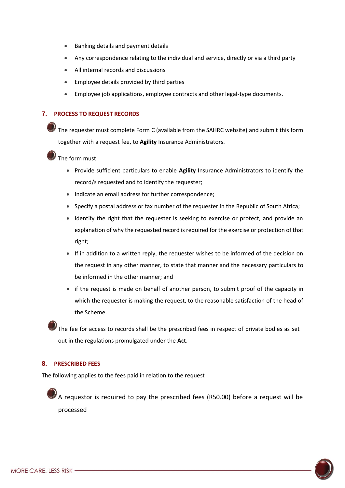- Banking details and payment details
- Any correspondence relating to the individual and service, directly or via a third party
- All internal records and discussions
- Employee details provided by third parties
- Employee job applications, employee contracts and other legal-type documents.

## <span id="page-5-0"></span>**7. PROCESS TO REQUEST RECORDS**

The requester must complete Form C (available from the SAHRC website) and submit this form together with a request fee, to **Agility** Insurance Administrators.

## The form must:

- Provide sufficient particulars to enable **Agility** Insurance Administrators to identify the record/s requested and to identify the requester;
- Indicate an email address for further correspondence;
- Specify a postal address or fax number of the requester in the Republic of South Africa;
- Identify the right that the requester is seeking to exercise or protect, and provide an explanation of why the requested record is required for the exercise or protection of that right;
- If in addition to a written reply, the requester wishes to be informed of the decision on the request in any other manner, to state that manner and the necessary particulars to be informed in the other manner; and
- if the request is made on behalf of another person, to submit proof of the capacity in which the requester is making the request, to the reasonable satisfaction of the head of the Scheme.

The fee for access to records shall be the prescribed fees in respect of private bodies as set out in the regulations promulgated under the **Act**.

## <span id="page-5-1"></span>**8. PRESCRIBED FEES**

The following applies to the fees paid in relation to the request

A requestor is required to pay the prescribed fees (R50.00) before a request will be processed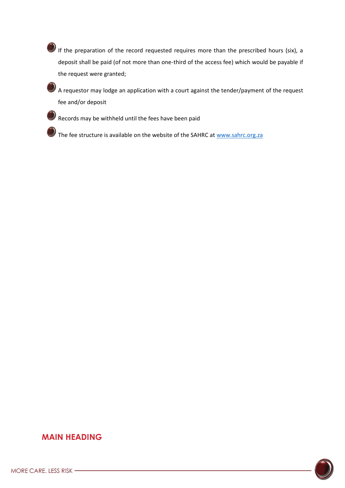If the preparation of the record requested requires more than the prescribed hours (six), a deposit shall be paid (of not more than one-third of the access fee) which would be payable if the request were granted;

A requestor may lodge an application with a court against the tender/payment of the request fee and/or deposit

 $\mathcal P$  Records may be withheld until the fees have been paid

The fee structure is available on the website of the SAHRC at [www.sahrc.org.za](http://www.sahrc.org.za/)

# **MAIN HEADING**